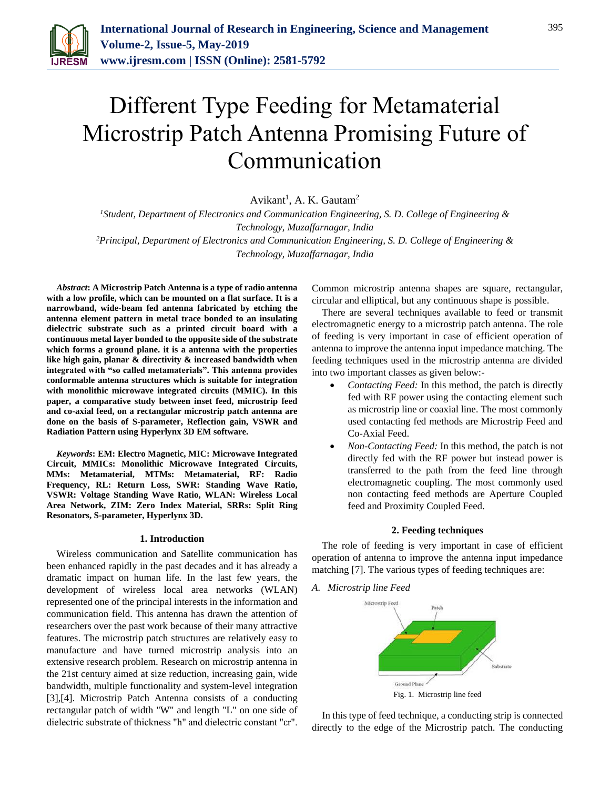

# Different Type Feeding for Metamaterial Microstrip Patch Antenna Promising Future of Communication

Avikant<sup>1</sup>, A. K. Gautam<sup>2</sup>

*<sup>1</sup>Student, Department of Electronics and Communication Engineering, S. D. College of Engineering & Technology, Muzaffarnagar, India <sup>2</sup>Principal, Department of Electronics and Communication Engineering, S. D. College of Engineering & Technology, Muzaffarnagar, India*

*Abstract***: A Microstrip Patch Antenna is a type of radio antenna with a low profile, which can be mounted on a flat surface. It is a narrowband, wide-beam fed antenna fabricated by etching the antenna element pattern in metal trace bonded to an insulating dielectric substrate such as a printed circuit board with a continuous metal layer bonded to the opposite side of the substrate which forms a ground plane. it is a antenna with the properties like high gain, planar & directivity & increased bandwidth when integrated with "so called metamaterials". This antenna provides conformable antenna structures which is suitable for integration with monolithic microwave integrated circuits (MMIC). In this paper, a comparative study between inset feed, microstrip feed and co-axial feed, on a rectangular microstrip patch antenna are done on the basis of S-parameter, Reflection gain, VSWR and Radiation Pattern using Hyperlynx 3D EM software.**

*Keywords***: EM: Electro Magnetic, MIC: Microwave Integrated Circuit, MMICs: Monolithic Microwave Integrated Circuits, MMs: Metamaterial, MTMs: Metamaterial, RF: Radio Frequency, RL: Return Loss, SWR: Standing Wave Ratio, VSWR: Voltage Standing Wave Ratio, WLAN: Wireless Local Area Network, ZIM: Zero Index Material, SRRs: Split Ring Resonators, S-parameter, Hyperlynx 3D.** 

#### **1. Introduction**

Wireless communication and Satellite communication has been enhanced rapidly in the past decades and it has already a dramatic impact on human life. In the last few years, the development of wireless local area networks (WLAN) represented one of the principal interests in the information and communication field. This antenna has drawn the attention of researchers over the past work because of their many attractive features. The microstrip patch structures are relatively easy to manufacture and have turned microstrip analysis into an extensive research problem. Research on microstrip antenna in the 21st century aimed at size reduction, increasing gain, wide bandwidth, multiple functionality and system-level integration [3],[4]. Microstrip Patch Antenna consists of a conducting rectangular patch of width "W" and length "L" on one side of dielectric substrate of thickness "h" and dielectric constant "εr".

Common microstrip antenna shapes are square, rectangular, circular and elliptical, but any continuous shape is possible.

There are several techniques available to feed or transmit electromagnetic energy to a microstrip patch antenna. The role of feeding is very important in case of efficient operation of antenna to improve the antenna input impedance matching. The feeding techniques used in the microstrip antenna are divided into two important classes as given below:-

- *Contacting Feed:* In this method, the patch is directly fed with RF power using the contacting element such as microstrip line or coaxial line. The most commonly used contacting fed methods are Microstrip Feed and Co-Axial Feed.
- *Non-Contacting Feed:* In this method, the patch is not directly fed with the RF power but instead power is transferred to the path from the feed line through electromagnetic coupling. The most commonly used non contacting feed methods are Aperture Coupled feed and Proximity Coupled Feed.

#### **2. Feeding techniques**

The role of feeding is very important in case of efficient operation of antenna to improve the antenna input impedance matching [7]. The various types of feeding techniques are:

*A. Microstrip line Feed*



In this type of feed technique, a conducting strip is connected directly to the edge of the Microstrip patch. The conducting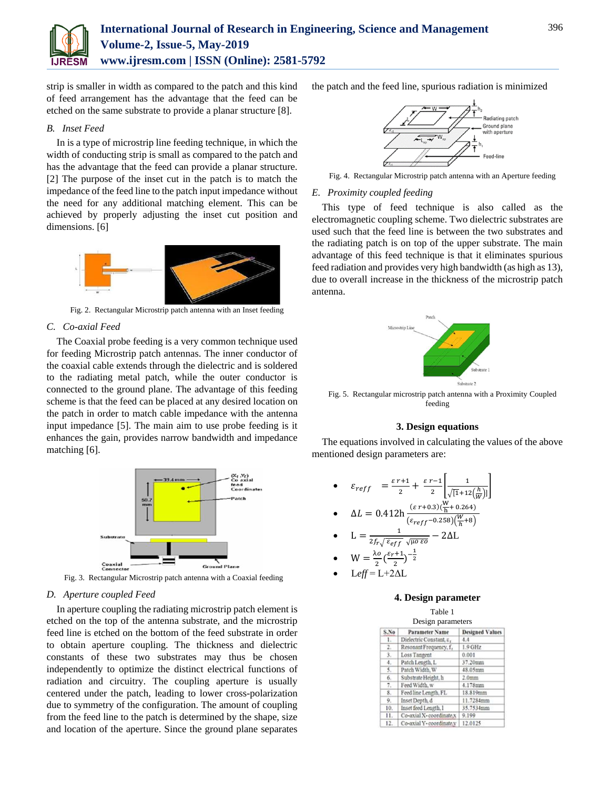

strip is smaller in width as compared to the patch and this kind of feed arrangement has the advantage that the feed can be etched on the same substrate to provide a planar structure [8].

# *B. Inset Feed*

In is a type of microstrip line feeding technique, in which the width of conducting strip is small as compared to the patch and has the advantage that the feed can provide a planar structure. [2] The purpose of the inset cut in the patch is to match the impedance of the feed line to the patch input impedance without the need for any additional matching element. This can be achieved by properly adjusting the inset cut position and dimensions. [6]



Fig. 2. Rectangular Microstrip patch antenna with an Inset feeding

# *C. Co-axial Feed*

The Coaxial probe feeding is a very common technique used for feeding Microstrip patch antennas. The inner conductor of the coaxial cable extends through the dielectric and is soldered to the radiating metal patch, while the outer conductor is connected to the ground plane. The advantage of this feeding scheme is that the feed can be placed at any desired location on the patch in order to match cable impedance with the antenna input impedance [5]. The main aim to use probe feeding is it enhances the gain, provides narrow bandwidth and impedance matching [6].



Fig. 3. Rectangular Microstrip patch antenna with a Coaxial feeding

# *D. Aperture coupled Feed*

In aperture coupling the radiating microstrip patch element is etched on the top of the antenna substrate, and the microstrip feed line is etched on the bottom of the feed substrate in order to obtain aperture coupling. The thickness and dielectric constants of these two substrates may thus be chosen independently to optimize the distinct electrical functions of radiation and circuitry. The coupling aperture is usually centered under the patch, leading to lower cross-polarization due to symmetry of the configuration. The amount of coupling from the feed line to the patch is determined by the shape, size and location of the aperture. Since the ground plane separates

the patch and the feed line, spurious radiation is minimized



Fig. 4. Rectangular Microstrip patch antenna with an Aperture feeding

## *E. Proximity coupled feeding*

This type of feed technique is also called as the electromagnetic coupling scheme. Two dielectric substrates are used such that the feed line is between the two substrates and the radiating patch is on top of the upper substrate. The main advantage of this feed technique is that it eliminates spurious feed radiation and provides very high bandwidth (as high as 13), due to overall increase in the thickness of the microstrip patch antenna.



Fig. 5. Rectangular microstrip patch antenna with a Proximity Coupled feeding

## **3. Design equations**

The equations involved in calculating the values of the above mentioned design parameters are:

•  $\varepsilon_{reff} = \frac{\varepsilon r + 1}{2}$  $\frac{r+1}{2} + \frac{\varepsilon r - 1}{2}$  $\frac{r-1}{2} \frac{1}{\sqrt{11}+12}$  $\frac{1}{\sqrt{[1+12(\frac{h}{W})]}}$ 

• 
$$
\Delta L = 0.412 \ln \frac{(\varepsilon r + 0.3)(\frac{W}{h} + 0.264)}{(\varepsilon_{reff} - 0.258)(\frac{W}{h} + 8)}
$$

• 
$$
L = \frac{1}{2f_r\sqrt{\varepsilon_{eff}} \sqrt{\mu_0 \varepsilon_0}} - 2\Delta L
$$

- $W = \frac{\lambda \omega}{2}$  $\frac{\log \left(\frac{\varepsilon_r+1}{2}\right)}{2}$  $\frac{(-1)}{2}$  $\frac{-1}{2}$
- L*eff* = L+2ΔL

## **4. Design parameter**

| S.No             | <b>Parameter Name</b>   | <b>Designed Values</b> |
|------------------|-------------------------|------------------------|
| Ł.               | Dielectric Constant, z, | 4.4                    |
| $\overline{2}$ . | Resonant Frequency, f.  | $1.9$ GHz              |
| 3.               | Loss Tangent            | 0.001                  |
| 4.               | Patch Length, L.        | 37.20mm                |
| 5.               | Patch Width, W          | 48.05mm                |
| 6.               | Substrate Height, h     | 2.0 <sub>mm</sub>      |
| 7.               | Feed Width, w           | 4.178mm                |
| 8.               | Feed line Length, FL    | 18.819mm               |
| 9.               | Inset Depth. d          | 11.7284mm              |
| 10.              | Inset feed Length, I    | 35.7534mm              |
| 11.              | Co-axial X-coordinate,x | 9.199                  |
| 12.              | Co-axial Y-coordinate.v | 12.0125                |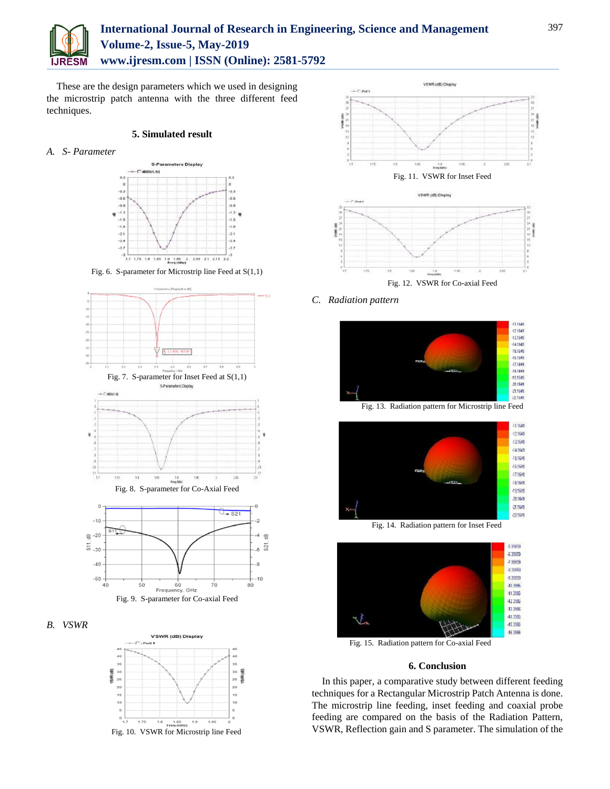

# **International Journal of Research in Engineering, Science and Management Volume-2, Issue-5, May-2019 www.ijresm.com | ISSN (Online): 2581-5792**

These are the design parameters which we used in designing the microstrip patch antenna with the three different feed techniques.

#### **5. Simulated result**

*A. S- Parameter*



Fig. 6. S-parameter for Microstrip line Feed at S(1,1)









*C. Radiation pattern*





Fig. 15. Radiation pattern for Co-axial Feed

#### **6. Conclusion**

 $-15.3996$  $-163986$ 

In this paper, a comparative study between different feeding techniques for a Rectangular Microstrip Patch Antenna is done. The microstrip line feeding, inset feeding and coaxial probe feeding are compared on the basis of the Radiation Pattern, VSWR, Reflection gain and S parameter. The simulation of the